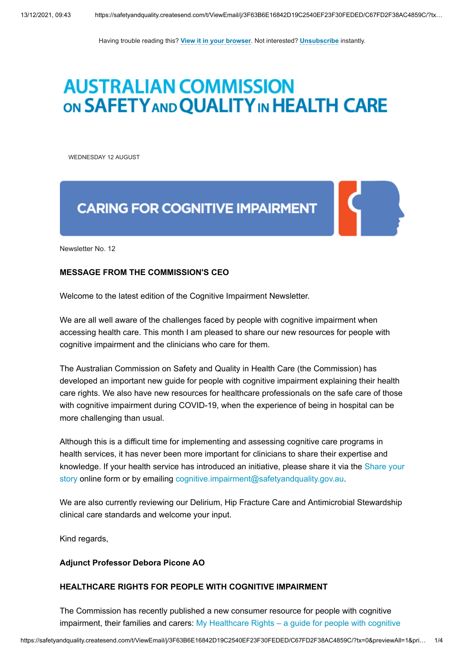Having trouble reading this? **[View it in your browser](http://safetyandquality.createsend1.com/t/j-e-qkudlll-l-r/)**. Not interested? **[Unsubscribe](http://safetyandquality.createsend1.com/t/j-u-qkudlll-l-y/)** instantly.

# **AUSTRALIAN COMMISSION** ON SAFETY AND QUALITY IN HEALTH CARE

<span id="page-0-0"></span>WEDNESDAY 12 AUGUST

## **CARING FOR COGNITIVE IMPAIRMENT**

Newsletter No. 12

## **MESSAGE FROM THE COMMISSION'S CEO**

Welcome to the latest edition of the Cognitive Impairment Newsletter.

We are all well aware of the challenges faced by people with cognitive impairment when accessing health care. This month I am pleased to share our new resources for people with cognitive impairment and the clinicians who care for them.

The Australian Commission on Safety and Quality in Health Care (the Commission) has developed an important new guide for people with cognitive impairment explaining their health care rights. We also have new resources for healthcare professionals on the safe care of those with cognitive impairment during COVID-19, when the experience of being in hospital can be more challenging than usual.

Although this is a difficult time for implementing and assessing cognitive care programs in health services, it has never been more important for clinicians to share their expertise and [knowledge. If your health service has introduced an initiative, please share it via the Share your](https://safetyandquality.createsend1.com/t/j-l-qkudlll-l-t/) story online form or by emailing [cognitive.impairment@safetyandquality.gov.au.](mailto:cognitive.impairment@safetyandquality.gov.au)

We are also currently reviewing our Delirium, Hip Fracture Care and Antimicrobial Stewardship clinical care standards and welcome your input.

Kind regards,

### **Adjunct Professor Debora Picone AO**

## **HEALTHCARE RIGHTS FOR PEOPLE WITH COGNITIVE IMPAIRMENT**

The Commission has recently published a new consumer resource for people with cognitive [impairment, their families and carers: My Healthcare Rights – a guide for people with cognitive](https://safetyandquality.createsend1.com/t/j-l-qkudlll-l-i/)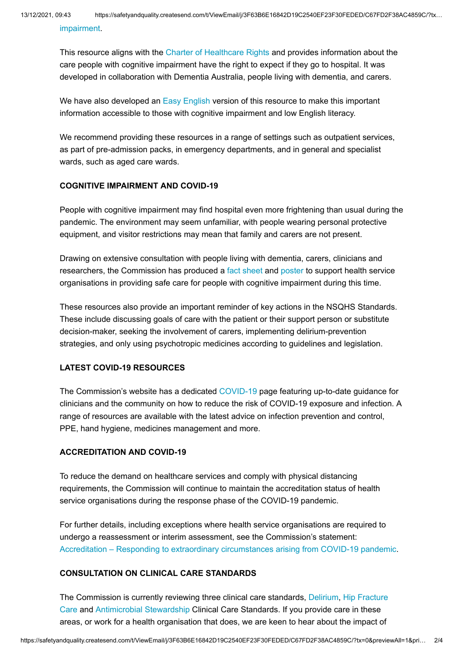[impairment.](https://safetyandquality.createsend1.com/t/j-l-qkudlll-l-i/)

This resource aligns with the [Charter of Healthcare Rights](https://safetyandquality.createsend1.com/t/j-l-qkudlll-l-d/) and provides information about the care people with cognitive impairment have the right to expect if they go to hospital. It was developed in collaboration with Dementia Australia, people living with dementia, and carers.

We have also developed an [Easy English](https://safetyandquality.createsend1.com/t/j-l-qkudlll-l-h/) version of this resource to make this important information accessible to those with cognitive impairment and low English literacy.

We recommend providing these resources in a range of settings such as outpatient services, as part of pre-admission packs, in emergency departments, and in general and specialist wards, such as aged care wards.

## **COGNITIVE IMPAIRMENT AND COVID-19**

People with cognitive impairment may find hospital even more frightening than usual during the pandemic. The environment may seem unfamiliar, with people wearing personal protective equipment, and visitor restrictions may mean that family and carers are not present.

Drawing on extensive consultation with people living with dementia, carers, clinicians and researchers, the Commission has produced a [fact sheet](https://safetyandquality.createsend1.com/t/j-l-qkudlll-l-k/) and [poster](https://safetyandquality.createsend1.com/t/j-l-qkudlll-l-u/) to support health service organisations in providing safe care for people with cognitive impairment during this time.

These resources also provide an important reminder of key actions in the NSQHS Standards. These include discussing goals of care with the patient or their support person or substitute decision-maker, seeking the involvement of carers, implementing delirium-prevention strategies, and only using psychotropic medicines according to guidelines and legislation.

## **LATEST COVID-19 RESOURCES**

The Commission's website has a dedicated [COVID-19 p](https://safetyandquality.createsend1.com/t/j-l-qkudlll-l-n/)age featuring up-to-date guidance for clinicians and the community on how to reduce the risk of COVID-19 exposure and infection. A range of resources are available with the latest advice on infection prevention and control, PPE, hand hygiene, medicines management and more.

## **ACCREDITATION AND COVID-19**

To reduce the demand on healthcare services and comply with physical distancing requirements, the Commission will continue to maintain the accreditation status of health service organisations during the response phase of the COVID-19 pandemic.

For further details, including exceptions where health service organisations are required to undergo a reassessment or interim assessment, see the Commission's statement: [Accreditation – Responding to extraordinary circumstances arising from COVID-19 pandemic](https://safetyandquality.createsend1.com/t/j-l-qkudlll-l-p/).

## **CONSULTATION ON CLINICAL CARE STANDARDS**

[The Commission is currently reviewing three clinical care standards, D](https://safetyandquality.createsend1.com/t/j-l-qkudlll-l-m/)[eliriu](https://safetyandquality.createsend1.com/t/j-l-qkudlll-l-x/)[m, Hip Fracture](https://safetyandquality.createsend1.com/t/j-l-qkudlll-l-m/) Care and [Antimicrobial Stewardship](https://safetyandquality.createsend1.com/t/j-l-qkudlll-l-c/) Clinical Care Standards. If you provide care in these areas, or work for a health organisation that does, we are keen to hear about the impact of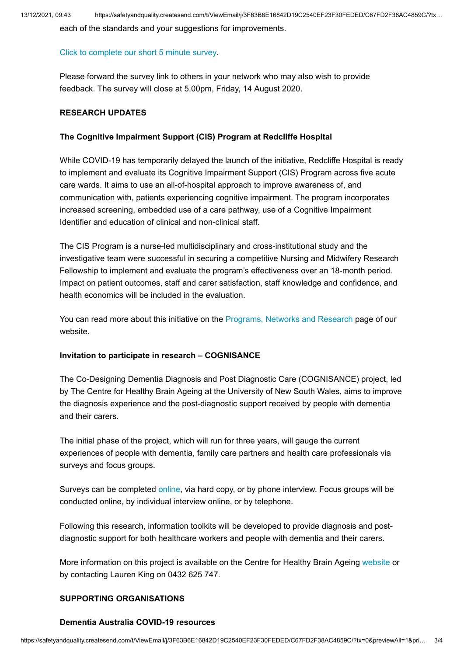each of the standards and your suggestions for improvements.

#### [Click to complete our short 5 minute survey](https://safetyandquality.createsend1.com/t/j-l-qkudlll-l-q/).

Please forward the survey link to others in your network who may also wish to provide feedback. The survey will close at 5.00pm, Friday, 14 August 2020.

### **RESEARCH UPDATES**

## **The Cognitive Impairment Support (CIS) Program at Redcliffe Hospital**

While COVID-19 has temporarily delayed the launch of the initiative, Redcliffe Hospital is ready to implement and evaluate its Cognitive Impairment Support (CIS) Program across five acute care wards. It aims to use an all-of-hospital approach to improve awareness of, and communication with, patients experiencing cognitive impairment. The program incorporates increased screening, embedded use of a care pathway, use of a Cognitive Impairment Identifier and education of clinical and non-clinical staff.

The CIS Program is a nurse-led multidisciplinary and cross-institutional study and the investigative team were successful in securing a competitive Nursing and Midwifery Research Fellowship to implement and evaluate the program's effectiveness over an 18-month period. Impact on patient outcomes, staff and carer satisfaction, staff knowledge and confidence, and health economics will be included in the evaluation.

You can read more about this initiative on the [Programs, Networks and Research](https://safetyandquality.createsend1.com/t/j-l-qkudlll-l-a/) page of our website.

### **Invitation to participate in research – COGNISANCE**

The Co-Designing Dementia Diagnosis and Post Diagnostic Care (COGNISANCE) project, led by The Centre for Healthy Brain Ageing at the University of New South Wales, aims to improve the diagnosis experience and the post-diagnostic support received by people with dementia and their carers.

The initial phase of the project, which will run for three years, will gauge the current experiences of people with dementia, family care partners and health care professionals via surveys and focus groups.

Surveys can be completed [online,](https://safetyandquality.createsend1.com/t/j-l-qkudlll-l-f/) via hard copy, or by phone interview. Focus groups will be conducted online, by individual interview online, or by telephone.

Following this research, information toolkits will be developed to provide diagnosis and postdiagnostic support for both healthcare workers and people with dementia and their carers.

More information on this project is available on the Centre for Healthy Brain Ageing [website](https://safetyandquality.createsend1.com/t/j-l-qkudlll-l-z/) or by contacting Lauren King on 0432 625 747.

## **SUPPORTING ORGANISATIONS**

### **Dementia Australia COVID-19 resources**